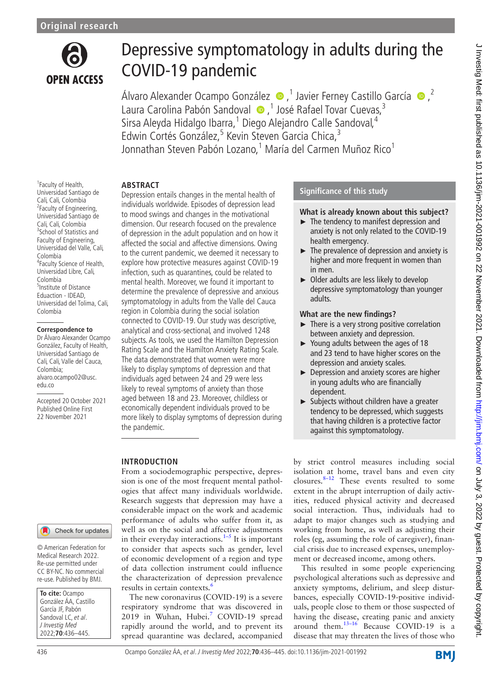

# Depressive symptomatology in adults during the COVID-19 pandemic

ÁlvaroAlexander Ocampo González  $\bullet$ ,<sup>1</sup> Javier Ferney Castillo García  $\bullet$ ,<sup>2</sup> Laura Carolina Pabón Sandoval (D, <sup>1</sup> José Rafael Tovar Cuevas,<sup>3</sup> Sirsa Aleyda Hidalgo Ibarra,<sup>1</sup> Diego Alejandro Calle Sandoval,<sup>4</sup> Edwin Cortés González,<sup>5</sup> Kevin Steven Garcia Chica,<sup>3</sup> Jonnathan Steven Pabón Lozano,<sup>1</sup> María del Carmen Muñoz Rico<sup>1</sup>

### **ABSTRACT**

1 Faculty of Health, Universidad Santiago de Cali, Cali, Colombia <sup>2</sup> Faculty of Engineering, Universidad Santiago de Cali, Cali, Colombia <sup>3</sup>School of Statistics and Faculty of Engineering, Universidad del Valle, Cali, Colombia 4 Faculty Science of Health, Universidad Libre, Cali, Colombia 5 Institute of Distance Eduaction - IDEAD, Universidad del Tolima, Cali, Colombia

#### **Correspondence to**

Dr Álvaro Alexander Ocampo González, Faculty of Health, Universidad Santiago de Cali, Cali, Valle del Cauca, Colombia; alvaro.ocampo02@usc. edu.co

Accepted 20 October 2021 Published Online First 22 November 2021

# **INTRODUCTION**

Check for updates

© American Federation for Medical Research 2022. Re-use permitted under CC BY-NC. No commercial re-use. Published by BMJ.

| To cite: Ocampo       |  |  |  |  |  |
|-----------------------|--|--|--|--|--|
| González ÁA, Castillo |  |  |  |  |  |
| García JF, Pabón      |  |  |  |  |  |
| Sandoval LC, et al.   |  |  |  |  |  |
| J Investig Med        |  |  |  |  |  |
| 2022;70:436-445.      |  |  |  |  |  |

Depression entails changes in the mental health of individuals worldwide. Episodes of depression lead to mood swings and changes in the motivational dimension. Our research focused on the prevalence of depression in the adult population and on how it affected the social and affective dimensions. Owing to the current pandemic, we deemed it necessary to explore how protective measures against COVID-19 infection, such as quarantines, could be related to mental health. Moreover, we found it important to determine the prevalence of depressive and anxious symptomatology in adults from the Valle del Cauca region in Colombia during the social isolation connected to COVID-19. Our study was descriptive, analytical and cross-sectional, and involved 1248 subjects. As tools, we used the Hamilton Depression Rating Scale and the Hamilton Anxiety Rating Scale. The data demonstrated that women were more likely to display symptoms of depression and that individuals aged between 24 and 29 were less likely to reveal symptoms of anxiety than those aged between 18 and 23. Moreover, childless or economically dependent individuals proved to be more likely to display symptoms of depression during the pandemic.

From a sociodemographic perspective, depression is one of the most frequent mental pathologies that affect many individuals worldwide. Research suggests that depression may have a considerable impact on the work and academic performance of adults who suffer from it, as well as on the social and affective adjustments in their everyday interactions. $1-5$  It is important to consider that aspects such as gender, level of economic development of a region and type of data collection instrument could influence the characterization of depression prevalence results in certain contexts.<sup>[6](#page-8-1)</sup>

The new coronavirus (COVID-19) is a severe respiratory syndrome that was discovered in 2019 in Wuhan, Hubei.<sup>7</sup> COVID-19 spread rapidly around the world, and to prevent its spread quarantine was declared, accompanied

# **Significance of this study**

### **What is already known about this subject?**

- ► The tendency to manifest depression and anxiety is not only related to the COVID-19 health emergency.
- ► The prevalence of depression and anxiety is higher and more frequent in women than in men.
- ► Older adults are less likely to develop depressive symptomatology than younger adults.

#### **What are the new findings?**

- $\blacktriangleright$  There is a very strong positive correlation between anxiety and depression.
- ► Young adults between the ages of 18 and 23 tend to have higher scores on the depression and anxiety scales.
- ► Depression and anxiety scores are higher in young adults who are financially dependent.
- ► Subjects without children have a greater tendency to be depressed, which suggests that having children is a protective factor against this symptomatology.

by strict control measures including social isolation at home, travel bans and even city closures. $8-12$  These events resulted to some extent in the abrupt interruption of daily activities, reduced physical activity and decreased social interaction. Thus, individuals had to adapt to major changes such as studying and working from home, as well as adjusting their roles (eg, assuming the role of caregiver), financial crisis due to increased expenses, unemployment or decreased income, among others.

This resulted in some people experiencing psychological alterations such as depressive and anxiety symptoms, delirium, and sleep disturbances, especially COVID-19-positive individuals, people close to them or those suspected of having the disease, creating panic and anxiety around them.<sup>13-16</sup> Because COVID-19 is a disease that may threaten the lives of those who

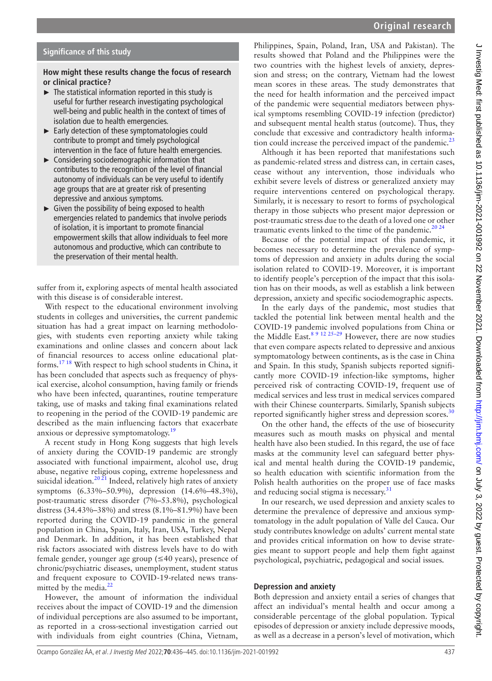#### **Significance of this study**

#### **How might these results change the focus of research or clinical practice?**

- $\blacktriangleright$  The statistical information reported in this study is useful for further research investigating psychological well-being and public health in the context of times of isolation due to health emergencies.
- ► Early detection of these symptomatologies could contribute to prompt and timely psychological intervention in the face of future health emergencies.
- ► Considering sociodemographic information that contributes to the recognition of the level of financial autonomy of individuals can be very useful to identify age groups that are at greater risk of presenting depressive and anxious symptoms.
- $\blacktriangleright$  Given the possibility of being exposed to health emergencies related to pandemics that involve periods of isolation, it is important to promote financial empowerment skills that allow individuals to feel more autonomous and productive, which can contribute to the preservation of their mental health.

suffer from it, exploring aspects of mental health associated with this disease is of considerable interest.

With respect to the educational environment involving students in colleges and universities, the current pandemic situation has had a great impact on learning methodologies, with students even reporting anxiety while taking examinations and online classes and concern about lack of financial resources to access online educational platforms.[17 18](#page-8-5) With respect to high school students in China, it has been concluded that aspects such as frequency of physical exercise, alcohol consumption, having family or friends who have been infected, quarantines, routine temperature taking, use of masks and taking final examinations related to reopening in the period of the COVID-19 pandemic are described as the main influencing factors that exacerbate anxious or depressive symptomatology.<sup>19</sup>

A recent study in Hong Kong suggests that high levels of anxiety during the COVID-19 pandemic are strongly associated with functional impairment, alcohol use, drug abuse, negative religious coping, extreme hopelessness and suicidal ideation.<sup>20  $\tilde{z}$ 1</sup> Indeed, relatively high rates of anxiety symptoms (6.33%–50.9%), depression (14.6%–48.3%), post-traumatic stress disorder (7%–53.8%), psychological distress (34.43%–38%) and stress (8.1%–81.9%) have been reported during the COVID-19 pandemic in the general population in China, Spain, Italy, Iran, USA, Turkey, Nepal and Denmark. In addition, it has been established that risk factors associated with distress levels have to do with female gender, younger age group (≤40 years), presence of chronic/psychiatric diseases, unemployment, student status and frequent exposure to COVID-19-related news transmitted by the media. $^{22}$  $^{22}$  $^{22}$ 

However, the amount of information the individual receives about the impact of COVID-19 and the dimension of individual perceptions are also assumed to be important, as reported in a cross-sectional investigation carried out with individuals from eight countries (China, Vietnam,

Philippines, Spain, Poland, Iran, USA and Pakistan). The results showed that Poland and the Philippines were the two countries with the highest levels of anxiety, depression and stress; on the contrary, Vietnam had the lowest mean scores in these areas. The study demonstrates that the need for health information and the perceived impact of the pandemic were sequential mediators between physical symptoms resembling COVID-19 infection (predictor) and subsequent mental health status (outcome). Thus, they conclude that excessive and contradictory health information could increase the perceived impact of the pandemic. $^{23}$  $^{23}$  $^{23}$ 

Although it has been reported that manifestations such as pandemic-related stress and distress can, in certain cases, cease without any intervention, those individuals who exhibit severe levels of distress or generalized anxiety may require interventions centered on psychological therapy. Similarly, it is necessary to resort to forms of psychological therapy in those subjects who present major depression or post-traumatic stress due to the death of a loved one or other traumatic events linked to the time of the pandemic.<sup>20 24</sup>

Because of the potential impact of this pandemic, it becomes necessary to determine the prevalence of symptoms of depression and anxiety in adults during the social isolation related to COVID-19. Moreover, it is important to identify people's perception of the impact that this isolation has on their moods, as well as establish a link between depression, anxiety and specific sociodemographic aspects.

In the early days of the pandemic, most studies that tackled the potential link between mental health and the COVID-19 pandemic involved populations from China or the Middle East.<sup>8 9 12 25-29</sup> However, there are now studies that even compare aspects related to depressive and anxious symptomatology between continents, as is the case in China and Spain. In this study, Spanish subjects reported significantly more COVID-19 infection-like symptoms, higher perceived risk of contracting COVID-19, frequent use of medical services and less trust in medical services compared with their Chinese counterparts. Similarly, Spanish subjects reported significantly higher stress and depression scores.<sup>[30](#page-8-10)</sup>

On the other hand, the effects of the use of biosecurity measures such as mouth masks on physical and mental health have also been studied. In this regard, the use of face masks at the community level can safeguard better physical and mental health during the COVID-19 pandemic, so health education with scientific information from the Polish health authorities on the proper use of face masks and reducing social stigma is necessary.<sup>31</sup>

In our research, we used depression and anxiety scales to determine the prevalence of depressive and anxious symptomatology in the adult population of Valle del Cauca. Our study contributes knowledge on adults' current mental state and provides critical information on how to devise strategies meant to support people and help them fight against psychological, psychiatric, pedagogical and social issues.

#### **Depression and anxiety**

Both depression and anxiety entail a series of changes that affect an individual's mental health and occur among a considerable percentage of the global population. Typical episodes of depression or anxiety include depressive moods, as well as a decrease in a person's level of motivation, which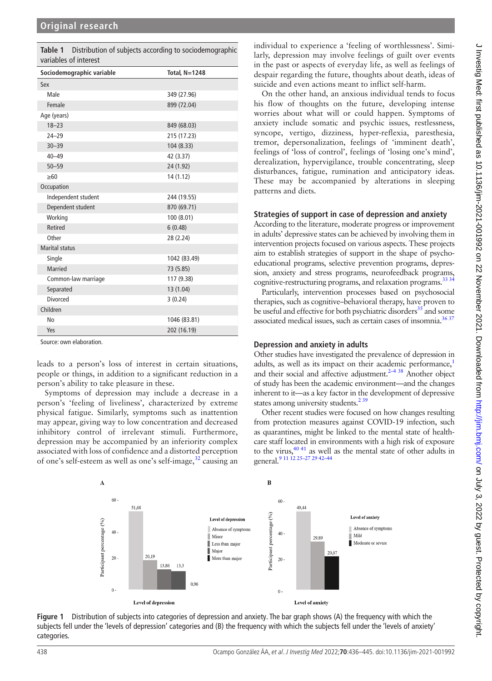<span id="page-2-0"></span>

| Table 1 Distribution of subjects according to sociodemographic |
|----------------------------------------------------------------|
| variables of interest                                          |

| Sociodemographic variable | <b>Total, N=1248</b> |  |  |  |  |
|---------------------------|----------------------|--|--|--|--|
| Sex                       |                      |  |  |  |  |
| Male                      | 349 (27.96)          |  |  |  |  |
| Female                    | 899 (72.04)          |  |  |  |  |
| Age (years)               |                      |  |  |  |  |
| $18 - 23$                 | 849 (68.03)          |  |  |  |  |
| $24 - 29$                 | 215 (17.23)          |  |  |  |  |
| $30 - 39$                 | 104 (8.33)           |  |  |  |  |
| $40 - 49$                 | 42 (3.37)            |  |  |  |  |
| $50 - 59$                 | 24 (1.92)            |  |  |  |  |
| $\geq 60$                 | 14(1.12)             |  |  |  |  |
| Occupation                |                      |  |  |  |  |
| Independent student       | 244 (19.55)          |  |  |  |  |
| Dependent student         | 870 (69.71)          |  |  |  |  |
| Working                   | 100 (8.01)           |  |  |  |  |
| Retired                   | 6(0.48)              |  |  |  |  |
| Other                     | 28 (2.24)            |  |  |  |  |
| <b>Marital status</b>     |                      |  |  |  |  |
| Single                    | 1042 (83.49)         |  |  |  |  |
| Married                   | 73 (5.85)            |  |  |  |  |
| Common-law marriage       | 117 (9.38)           |  |  |  |  |
| Separated                 | 13 (1.04)            |  |  |  |  |
| <b>Divorced</b>           | 3(0.24)              |  |  |  |  |
| Children                  |                      |  |  |  |  |
| No                        | 1046 (83.81)         |  |  |  |  |
| Yes                       | 202 (16.19)          |  |  |  |  |

Source: own elaboration.

leads to a person's loss of interest in certain situations, people or things, in addition to a significant reduction in a person's ability to take pleasure in these.

Symptoms of depression may include a decrease in a person's 'feeling of liveliness', characterized by extreme physical fatigue. Similarly, symptoms such as inattention may appear, giving way to low concentration and decreased inhibitory control of irrelevant stimuli. Furthermore, depression may be accompanied by an inferiority complex associated with loss of confidence and a distorted perception of one's self-esteem as well as one's self-image,<sup>32</sup> causing an

individual to experience a 'feeling of worthlessness'. Similarly, depression may involve feelings of guilt over events in the past or aspects of everyday life, as well as feelings of despair regarding the future, thoughts about death, ideas of suicide and even actions meant to inflict self-harm.

On the other hand, an anxious individual tends to focus his flow of thoughts on the future, developing intense worries about what will or could happen. Symptoms of anxiety include somatic and psychic issues, restlessness, syncope, vertigo, dizziness, hyper-reflexia, paresthesia, tremor, depersonalization, feelings of 'imminent death', feelings of 'loss of control', feelings of 'losing one's mind', derealization, hypervigilance, trouble concentrating, sleep disturbances, fatigue, rumination and anticipatory ideas. These may be accompanied by alterations in sleeping patterns and diets.

#### **Strategies of support in case of depression and anxiety**

According to the literature, moderate progress or improvement in adults' depressive states can be achieved by involving them in intervention projects focused on various aspects. These projects aim to establish strategies of support in the shape of psychoeducational programs, selective prevention programs, depression, anxiety and stress programs, neurofeedback programs, cognitive-restructuring programs, and relaxation programs.<sup>33 34</sup>

Particularly, intervention processes based on psychosocial therapies, such as cognitive–behavioral therapy, have proven to be useful and effective for both psychiatric disorders<sup>35</sup> and some associated medical issues, such as certain cases of insomnia.<sup>[36 37](#page-8-15)</sup>

#### **Depression and anxiety in adults**

Other studies have investigated the prevalence of depression in adults, as well as its impact on their academic performance,<sup>1</sup> and their social and affective adjustment. $2-438$  Another object of study has been the academic environment—and the changes inherent to it—as a key factor in the development of depressive states among university students.<sup>239</sup>

Other recent studies were focused on how changes resulting from protection measures against COVID-19 infection, such as quarantines, might be linked to the mental state of healthcare staff located in environments with a high risk of exposure to the virus,  $40\frac{4}{1}$  as well as the mental state of other adults in general.<sup>9</sup> <sup>11</sup> <sup>12</sup> <sup>25</sup>-27<sup>29</sup> <sup>42-44</sup>



<span id="page-2-1"></span>**Figure 1** Distribution of subjects into categories of depression and anxiety. The bar graph shows (A) the frequency with which the subjects fell under the 'levels of depression' categories and (B) the frequency with which the subjects fell under the 'levels of anxiety' categories.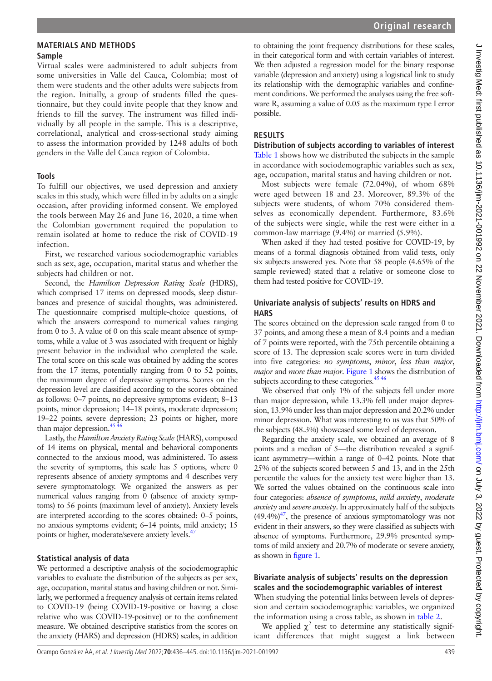#### **MATERIALS AND METHODS Sample**

Virtual scales were aadministered to adult subjects from some universities in Valle del Cauca, Colombia; most of them were students and the other adults were subjects from the region. Initially, a group of students filled the questionnaire, but they could invite people that they know and friends to fill the survey. The instrument was filled individually by all people in the sample. This is a descriptive, correlational, analytical and cross-sectional study aiming to assess the information provided by 1248 adults of both genders in the Valle del Cauca region of Colombia.

#### **Tools**

To fulfill our objectives, we used depression and anxiety scales in this study, which were filled in by adults on a single occasion, after providing informed consent. We employed the tools between May 26 and June 16, 2020, a time when the Colombian government required the population to remain isolated at home to reduce the risk of COVID-19 infection.

First, we researched various sociodemographic variables such as sex, age, occupation, marital status and whether the subjects had children or not.

Second, the *Hamilton Depression Rating Scale* (HDRS), which comprised 17 items on depressed moods, sleep disturbances and presence of suicidal thoughts, was administered. The questionnaire comprised multiple-choice questions, of which the answers correspond to numerical values ranging from 0 to 3. A value of 0 on this scale meant absence of symptoms, while a value of 3 was associated with frequent or highly present behavior in the individual who completed the scale. The total score on this scale was obtained by adding the scores from the 17 items, potentially ranging from 0 to 52 points, the maximum degree of depressive symptoms. Scores on the depression level are classified according to the scores obtained as follows: 0–7 points, no depressive symptoms evident; 8–13 points, minor depression; 14–18 points, moderate depression; 19–22 points, severe depression; 23 points or higher, more than major depression. $45\frac{46}{16}$ 

Lastly, the *Hamilton Anxiety Rating Scale* (HARS), composed of 14 items on physical, mental and behavioral components connected to the anxious mood, was administered. To assess the severity of symptoms, this scale has 5 options, where 0 represents absence of anxiety symptoms and 4 describes very severe symptomatology. We organized the answers as per numerical values ranging from 0 (absence of anxiety symptoms) to 56 points (maximum level of anxiety). Anxiety levels are interpreted according to the scores obtained: 0–5 points, no anxious symptoms evident; 6–14 points, mild anxiety; 15 points or higher, moderate/severe anxiety levels.<sup>47</sup>

### **Statistical analysis of data**

We performed a descriptive analysis of the sociodemographic variables to evaluate the distribution of the subjects as per sex, age, occupation, marital status and having children or not. Similarly, we performed a frequency analysis of certain items related to COVID-19 (being COVID-19-positive or having a close relative who was COVID-19-positive) or to the confinement measure. We obtained descriptive statistics from the scores on the anxiety (HARS) and depression (HDRS) scales, in addition

to obtaining the joint frequency distributions for these scales, in their categorical form and with certain variables of interest. We then adjusted a regression model for the binary response variable (depression and anxiety) using a logistical link to study its relationship with the demographic variables and confinement conditions. We performed the analyses using the free software R, assuming a value of 0.05 as the maximum type I error possible.

**Original research**

# **RESULTS**

**Distribution of subjects according to variables of interest** [Table](#page-2-0) 1 shows how we distributed the subjects in the sample in accordance with sociodemographic variables such as sex, age, occupation, marital status and having children or not.

Most subjects were female (72.04%), of whom 68% were aged between 18 and 23. Moreover, 89.3% of the subjects were students, of whom 70% considered themselves as economically dependent. Furthermore, 83.6% of the subjects were single, while the rest were either in a common-law marriage (9.4%) or married (5.9%).

When asked if they had tested positive for COVID-19, by means of a formal diagnosis obtained from valid tests, only six subjects answered yes. Note that 58 people (4.65% of the sample reviewed) stated that a relative or someone close to them had tested positive for COVID-19.

#### **Univariate analysis of subjects' results on HDRS and HARS**

The scores obtained on the depression scale ranged from 0 to 37 points, and among these a mean of 8.4 points and a median of 7 points were reported, with the 75th percentile obtaining a score of 13. The depression scale scores were in turn divided into five categories: *no symptoms*, *minor*, *less than major*, *major* and *more than major*. [Figure](#page-2-1) 1 shows the distribution of subjects according to these categories.<sup>[45 46](#page-8-19)</sup>

We observed that only 1% of the subjects fell under more than major depression, while 13.3% fell under major depression, 13.9% under less than major depression and 20.2% under minor depression. What was interesting to us was that 50% of the subjects (48.3%) showcased some level of depression.

Regarding the anxiety scale, we obtained an average of 8 points and a median of 5—the distribution revealed a significant asymmetry—within a range of 0–42 points. Note that 25% of the subjects scored between 5 and 13, and in the 25th percentile the values for the anxiety test were higher than 13. We sorted the values obtained on the continuous scale into four categories: *absence of symptoms*, *mild anxiety*, *moderate anxiety* and *severe anxiety*. In approximately half of the subjects  $(49.4\%)^{47}$ , the presence of anxious symptomatology was not evident in their answers, so they were classified as subjects with absence of symptoms. Furthermore, 29.9% presented symptoms of mild anxiety and 20.7% of moderate or severe anxiety, as shown in [figure](#page-2-1) 1.

### **Bivariate analysis of subjects' results on the depression scales and the sociodemographic variables of interest**

When studying the potential links between levels of depression and certain sociodemographic variables, we organized the information using a cross table, as shown in [table](#page-4-0) 2.

We applied  $\chi^2$  test to determine any statistically significant differences that might suggest a link between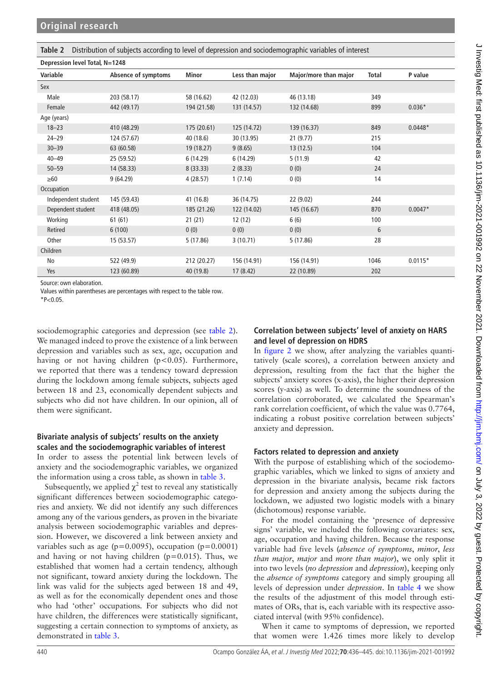<span id="page-4-0"></span>**Table 2** Distribution of subjects according to level of depression and sociodemographic variables of interest

**Depression level Total, N=1248**

| Variable            | Absence of symptoms | Minor       | Less than major | Major/more than major | Total | P value   |
|---------------------|---------------------|-------------|-----------------|-----------------------|-------|-----------|
| Sex                 |                     |             |                 |                       |       |           |
| Male                | 203 (58.17)         | 58 (16.62)  | 42 (12.03)      | 46 (13.18)            | 349   |           |
| Female              | 442 (49.17)         | 194 (21.58) | 131 (14.57)     | 132 (14.68)           | 899   | $0.036*$  |
| Age (years)         |                     |             |                 |                       |       |           |
| $18 - 23$           | 410 (48.29)         | 175 (20.61) | 125 (14.72)     | 139 (16.37)           | 849   | $0.0448*$ |
| $24 - 29$           | 124 (57.67)         | 40 (18.6)   | 30 (13.95)      | 21(9.77)              | 215   |           |
| $30 - 39$           | 63 (60.58)          | 19 (18.27)  | 9(8.65)         | 13(12.5)              | 104   |           |
| $40 - 49$           | 25 (59.52)          | 6 (14.29)   | 6 (14.29)       | 5(11.9)               | 42    |           |
| $50 - 59$           | 14 (58.33)          | 8(33.33)    | 2(8.33)         | 0(0)                  | 24    |           |
| $\geq 60$           | 9(64.29)            | 4(28.57)    | 1(7.14)         | 0(0)                  | 14    |           |
| Occupation          |                     |             |                 |                       |       |           |
| Independent student | 145 (59.43)         | 41 (16.8)   | 36 (14.75)      | 22 (9.02)             | 244   |           |
| Dependent student   | 418 (48.05)         | 185 (21.26) | 122 (14.02)     | 145 (16.67)           | 870   | $0.0047*$ |
| Working             | 61(61)              | 21(21)      | 12(12)          | 6(6)                  | 100   |           |
| Retired             | 6(100)              | 0(0)        | 0(0)            | 0(0)                  | 6     |           |
| Other               | 15 (53.57)          | 5(17.86)    | 3(10.71)        | 5(17.86)              | 28    |           |
| Children            |                     |             |                 |                       |       |           |
| No                  | 522 (49.9)          | 212 (20.27) | 156 (14.91)     | 156 (14.91)           | 1046  | $0.0115*$ |
| Yes                 | 123 (60.89)         | 40 (19.8)   | 17(8.42)        | 22 (10.89)            | 202   |           |
|                     |                     |             |                 |                       |       |           |

Source: own elaboration.

Values within parentheses are percentages with respect to the table row.

 $*P<0.05$ .

sociodemographic categories and depression (see [table](#page-4-0) 2). We managed indeed to prove the existence of a link between depression and variables such as sex, age, occupation and having or not having children  $(p<0.05)$ . Furthermore, we reported that there was a tendency toward depression during the lockdown among female subjects, subjects aged between 18 and 23, economically dependent subjects and subjects who did not have children. In our opinion, all of them were significant.

### **Bivariate analysis of subjects' results on the anxiety scales and the sociodemographic variables of interest**

In order to assess the potential link between levels of anxiety and the sociodemographic variables, we organized the information using a cross table, as shown in [table](#page-5-0) 3.

Subsequently, we applied  $\chi^2$  test to reveal any statistically significant differences between sociodemographic categories and anxiety. We did not identify any such differences among any of the various genders, as proven in the bivariate analysis between sociodemographic variables and depression. However, we discovered a link between anxiety and variables such as age ( $p=0.0095$ ), occupation ( $p=0.0001$ ) and having or not having children  $(p=0.015)$ . Thus, we established that women had a certain tendency, although not significant, toward anxiety during the lockdown. The link was valid for the subjects aged between 18 and 49, as well as for the economically dependent ones and those who had 'other' occupations. For subjects who did not have children, the differences were statistically significant, suggesting a certain connection to symptoms of anxiety, as demonstrated in [table](#page-5-0) 3.

# **Correlation between subjects' level of anxiety on HARS and level of depression on HDRS**

In [figure](#page-5-1) 2 we show, after analyzing the variables quantitatively (scale scores), a correlation between anxiety and depression, resulting from the fact that the higher the subjects' anxiety scores (x-axis), the higher their depression scores (y-axis) as well. To determine the soundness of the correlation corroborated, we calculated the Spearman's rank correlation coefficient, of which the value was 0.7764, indicating a robust positive correlation between subjects' anxiety and depression.

# **Factors related to depression and anxiety**

With the purpose of establishing which of the sociodemographic variables, which we linked to signs of anxiety and depression in the bivariate analysis, became risk factors for depression and anxiety among the subjects during the lockdown, we adjusted two logistic models with a binary (dichotomous) response variable.

For the model containing the 'presence of depressive signs' variable, we included the following covariates: sex, age, occupation and having children. Because the response variable had five levels (*absence of symptoms*, *minor*, *less than major*, *major* and *more than major*), we only split it into two levels (*no depression* and *depression*), keeping only the *absence of symptoms* category and simply grouping all levels of depression under *depression*. In [table](#page-6-0) 4 we show the results of the adjustment of this model through estimates of ORs, that is, each variable with its respective associated interval (with 95% confidence).

When it came to symptoms of depression, we reported that women were 1.426 times more likely to develop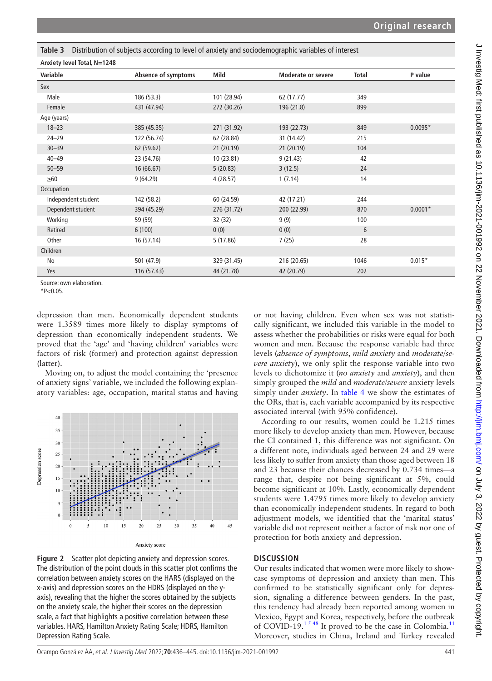<span id="page-5-0"></span>

| Table 3 Distribution of subjects according to level of anxiety and sociodemographic variables of interest |  |  |  |
|-----------------------------------------------------------------------------------------------------------|--|--|--|
|                                                                                                           |  |  |  |

| Anxiety level Total, N=1248 |                     |             |                           |              |           |
|-----------------------------|---------------------|-------------|---------------------------|--------------|-----------|
| Variable                    | Absence of symptoms | Mild        | <b>Moderate or severe</b> | <b>Total</b> | P value   |
| Sex                         |                     |             |                           |              |           |
| Male                        | 186 (53.3)          | 101 (28.94) | 62 (17.77)                | 349          |           |
| Female                      | 431 (47.94)         | 272 (30.26) | 196 (21.8)                | 899          |           |
| Age (years)                 |                     |             |                           |              |           |
| $18 - 23$                   | 385 (45.35)         | 271 (31.92) | 193 (22.73)               | 849          | $0.0095*$ |
| $24 - 29$                   | 122 (56.74)         | 62 (28.84)  | 31 (14.42)                | 215          |           |
| $30 - 39$                   | 62 (59.62)          | 21 (20.19)  | 21 (20.19)                | 104          |           |
| $40 - 49$                   | 23 (54.76)          | 10 (23.81)  | 9(21.43)                  | 42           |           |
| $50 - 59$                   | 16 (66.67)          | 5(20.83)    | 3(12.5)                   | 24           |           |
| $\geq 60$                   | 9(64.29)            | 4(28.57)    | 1(7.14)                   | 14           |           |
| Occupation                  |                     |             |                           |              |           |
| Independent student         | 142 (58.2)          | 60 (24.59)  | 42 (17.21)                | 244          |           |
| Dependent student           | 394 (45.29)         | 276 (31.72) | 200 (22.99)               | 870          | $0.0001*$ |
| Working                     | 59 (59)             | 32 (32)     | 9(9)                      | 100          |           |
| Retired                     | 6(100)              | 0(0)        | 0(0)                      | 6            |           |
| Other                       | 16 (57.14)          | 5(17.86)    | 7(25)                     | 28           |           |
| Children                    |                     |             |                           |              |           |
| No                          | 501 (47.9)          | 329 (31.45) | 216 (20.65)               | 1046         | $0.015*$  |
| Yes                         | 116 (57.43)         | 44 (21.78)  | 42 (20.79)                | 202          |           |
| Source: own elaboration.    |                     |             |                           |              |           |

 $*P<0.05$ .

depression than men. Economically dependent students were 1.3589 times more likely to display symptoms of depression than economically independent students. We proved that the 'age' and 'having children' variables were factors of risk (former) and protection against depression (latter).

Moving on, to adjust the model containing the 'presence of anxiety signs' variable, we included the following explanatory variables: age, occupation, marital status and having



Anxiety score

<span id="page-5-1"></span>**Figure 2** Scatter plot depicting anxiety and depression scores. The distribution of the point clouds in this scatter plot confirms the correlation between anxiety scores on the HARS (displayed on the x-axis) and depression scores on the HDRS (displayed on the yaxis), revealing that the higher the scores obtained by the subjects on the anxiety scale, the higher their scores on the depression scale, a fact that highlights a positive correlation between these variables. HARS, Hamilton Anxiety Rating Scale; HDRS, Hamilton Depression Rating Scale.

or not having children. Even when sex was not statistically significant, we included this variable in the model to assess whether the probabilities or risks were equal for both women and men. Because the response variable had three levels (*absence of symptoms*, *mild anxiety* and *moderate*/*severe anxiety*), we only split the response variable into two levels to dichotomize it (*no anxiety* and *anxiety*), and then simply grouped the *mild* and *moderate/severe* anxiety levels simply under *anxiety*. In [table](#page-6-0) 4 we show the estimates of the ORs, that is, each variable accompanied by its respective associated interval (with 95% confidence).

According to our results, women could be 1.215 times more likely to develop anxiety than men. However, because the CI contained 1, this difference was not significant. On a different note, individuals aged between 24 and 29 were less likely to suffer from anxiety than those aged between 18 and 23 because their chances decreased by 0.734 times—a range that, despite not being significant at 5%, could become significant at 10%. Lastly, economically dependent students were 1.4795 times more likely to develop anxiety than economically independent students. In regard to both adjustment models, we identified that the 'marital status' variable did not represent neither a factor of risk nor one of protection for both anxiety and depression.

### **DISCUSSION**

Our results indicated that women were more likely to showcase symptoms of depression and anxiety than men. This confirmed to be statistically significant only for depression, signaling a difference between genders. In the past, this tendency had already been reported among women in Mexico, Egypt and Korea, respectively, before the outbreak of COVID-19.<sup>15 48</sup> It proved to be the case in Colombia.<sup>[11](#page-8-21)</sup> Moreover, studies in China, Ireland and Turkey revealed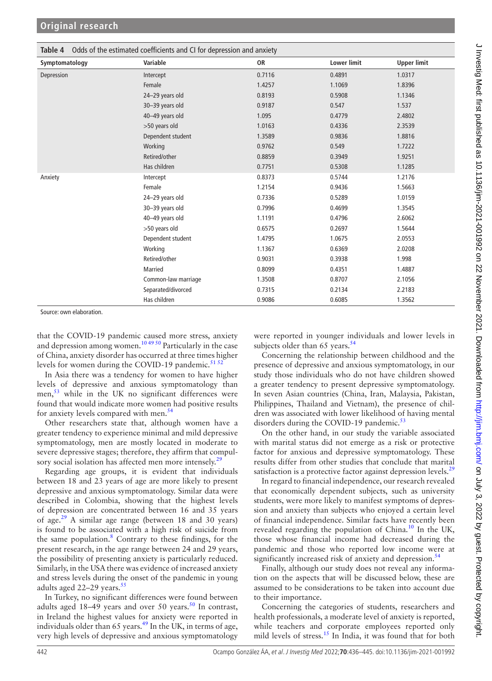<span id="page-6-0"></span>

| Odds of the estimated coefficients and CI for depression and anxiety<br>Table 4 |                     |        |                    |                    |  |
|---------------------------------------------------------------------------------|---------------------|--------|--------------------|--------------------|--|
| Symptomatology                                                                  | Variable            | 0R     | <b>Lower limit</b> | <b>Upper limit</b> |  |
| Depression                                                                      | Intercept           | 0.7116 | 0.4891             | 1.0317             |  |
|                                                                                 | Female              | 1.4257 | 1.1069             | 1.8396             |  |
|                                                                                 | 24-29 years old     | 0.8193 | 0.5908             | 1.1346             |  |
|                                                                                 | 30-39 years old     | 0.9187 | 0.547              | 1.537              |  |
|                                                                                 | 40-49 years old     | 1.095  | 0.4779             | 2.4802             |  |
|                                                                                 | >50 years old       | 1.0163 | 0.4336             | 2.3539             |  |
|                                                                                 | Dependent student   | 1.3589 | 0.9836             | 1.8816             |  |
|                                                                                 | Working             | 0.9762 | 0.549              | 1.7222             |  |
|                                                                                 | Retired/other       | 0.8859 | 0.3949             | 1.9251             |  |
|                                                                                 | Has children        | 0.7751 | 0.5308             | 1.1285             |  |
| Anxiety                                                                         | Intercept           | 0.8373 | 0.5744             | 1.2176             |  |
|                                                                                 | Female              | 1.2154 | 0.9436             | 1.5663             |  |
|                                                                                 | 24-29 years old     | 0.7336 | 0.5289             | 1.0159             |  |
|                                                                                 | 30-39 years old     | 0.7996 | 0.4699             | 1.3545             |  |
|                                                                                 | 40-49 years old     | 1.1191 | 0.4796             | 2.6062             |  |
|                                                                                 | >50 years old       | 0.6575 | 0.2697             | 1.5644             |  |
|                                                                                 | Dependent student   | 1.4795 | 1.0675             | 2.0553             |  |
|                                                                                 | Working             | 1.1367 | 0.6369             | 2.0208             |  |
|                                                                                 | Retired/other       | 0.9031 | 0.3938             | 1.998              |  |
|                                                                                 | Married             | 0.8099 | 0.4351             | 1.4887             |  |
|                                                                                 | Common-law marriage | 1.3508 | 0.8707             | 2.1056             |  |
|                                                                                 | Separated/divorced  | 0.7315 | 0.2134             | 2.2183             |  |
|                                                                                 | Has children        | 0.9086 | 0.6085             | 1.3562             |  |

Source: own elaboration.

that the COVID-19 pandemic caused more stress, anxiety and depression among women.<sup>10 49 50</sup> Particularly in the case of China, anxiety disorder has occurred at three times higher levels for women during the COVID-19 pandemic.<sup>[51 52](#page-9-0)</sup>

In Asia there was a tendency for women to have higher levels of depressive and anxious symptomatology than men,<sup>53</sup> while in the UK no significant differences were found that would indicate more women had positive results for anxiety levels compared with men.<sup>[54](#page-9-2)</sup>

Other researchers state that, although women have a greater tendency to experience minimal and mild depressive symptomatology, men are mostly located in moderate to severe depressive stages; therefore, they affirm that compul-sory social isolation has affected men more intensely.<sup>[29](#page-8-23)</sup>

Regarding age groups, it is evident that individuals between 18 and 23 years of age are more likely to present depressive and anxious symptomatology. Similar data were described in Colombia, showing that the highest levels of depression are concentrated between 16 and 35 years of age.<sup>29</sup> A similar age range (between 18 and 30 years) is found to be associated with a high risk of suicide from the same population.<sup>[8](#page-8-3)</sup> Contrary to these findings, for the present research, in the age range between 24 and 29 years, the possibility of presenting anxiety is particularly reduced. Similarly, in the USA there was evidence of increased anxiety and stress levels during the onset of the pandemic in young adults aged  $22-29$  years.<sup>[55](#page-9-3)</sup>

In Turkey, no significant differences were found between adults aged  $18-49$  years and over [50](#page-8-24) years.<sup>50</sup> In contrast, in Ireland the highest values for anxiety were reported in individuals older than 65 years. $49$  In the UK, in terms of age, very high levels of depressive and anxious symptomatology

were reported in younger individuals and lower levels in subjects older than 65 years. $54$ 

Concerning the relationship between childhood and the presence of depressive and anxious symptomatology, in our study those individuals who do not have children showed a greater tendency to present depressive symptomatology. In seven Asian countries (China, Iran, Malaysia, Pakistan, Philippines, Thailand and Vietnam), the presence of children was associated with lower likelihood of having mental disorders during the COVID-19 pandemic.<sup>[53](#page-9-1)</sup>

On the other hand, in our study the variable associated with marital status did not emerge as a risk or protective factor for anxious and depressive symptomatology. These results differ from other studies that conclude that marital satisfaction is a protective factor against depression levels.<sup>[29](#page-8-23)</sup>

In regard to financial independence, our research revealed that economically dependent subjects, such as university students, were more likely to manifest symptoms of depression and anxiety than subjects who enjoyed a certain level of financial independence. Similar facts have recently been revealed regarding the population of China.<sup>[10](#page-8-22)</sup> In the UK, those whose financial income had decreased during the pandemic and those who reported low income were at significantly increased risk of anxiety and depression. $54$ 

Finally, although our study does not reveal any information on the aspects that will be discussed below, these are assumed to be considerations to be taken into account due to their importance.

Concerning the categories of students, researchers and health professionals, a moderate level of anxiety is reported, while teachers and corporate employees reported only mild levels of stress.<sup>15</sup> In India, it was found that for both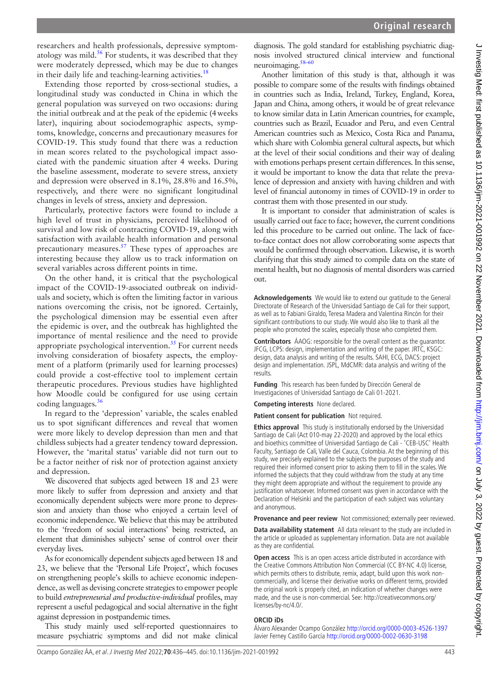researchers and health professionals, depressive symptomatology was mild. $56$  For students, it was described that they were moderately depressed, which may be due to changes in their daily life and teaching-learning activities.<sup>18</sup>

Extending those reported by cross-sectional studies, a longitudinal study was conducted in China in which the general population was surveyed on two occasions: during the initial outbreak and at the peak of the epidemic (4weeks later), inquiring about sociodemographic aspects, symptoms, knowledge, concerns and precautionary measures for COVID-19. This study found that there was a reduction in mean scores related to the psychological impact associated with the pandemic situation after 4 weeks. During the baseline assessment, moderate to severe stress, anxiety and depression were observed in 8.1%, 28.8% and 16.5%, respectively, and there were no significant longitudinal changes in levels of stress, anxiety and depression.

Particularly, protective factors were found to include a high level of trust in physicians, perceived likelihood of survival and low risk of contracting COVID-19, along with satisfaction with available health information and personal precautionary measures.<sup>57</sup> These types of approaches are interesting because they allow us to track information on several variables across different points in time.

On the other hand, it is critical that the psychological impact of the COVID-19-associated outbreak on individuals and society, which is often the limiting factor in various nations overcoming the crisis, not be ignored. Certainly, the psychological dimension may be essential even after the epidemic is over, and the outbreak has highlighted the importance of mental resilience and the need to provide appropriate psychological intervention.<sup>[35](#page-8-14)</sup> For current needs involving consideration of biosafety aspects, the employment of a platform (primarily used for learning processes) could provide a cost-effective tool to implement certain therapeutic procedures. Previous studies have highlighted how Moodle could be configured for use using certain coding languages. $36$ 

In regard to the 'depression' variable, the scales enabled us to spot significant differences and reveal that women were more likely to develop depression than men and that childless subjects had a greater tendency toward depression. However, the 'marital status' variable did not turn out to be a factor neither of risk nor of protection against anxiety and depression.

We discovered that subjects aged between 18 and 23 were more likely to suffer from depression and anxiety and that economically dependent subjects were more prone to depression and anxiety than those who enjoyed a certain level of economic independence. We believe that this may be attributed to the 'freedom of social interactions' being restricted, an element that diminishes subjects' sense of control over their everyday lives.

As for economically dependent subjects aged between 18 and 23, we believe that the 'Personal Life Project', which focuses on strengthening people's skills to achieve economic independence, as well as devising concrete strategies to empower people to build *entrepreneurial and productive-individual* profiles, may represent a useful pedagogical and social alternative in the fight against depression in postpandemic times.

This study mainly used self-reported questionnaires to measure psychiatric symptoms and did not make clinical

diagnosis. The gold standard for establishing psychiatric diagnosis involved structured clinical interview and functional neuroimaging.[58–60](#page-9-6)

Another limitation of this study is that, although it was possible to compare some of the results with findings obtained in countries such as India, Ireland, Turkey, England, Korea, Japan and China, among others, it would be of great relevance to know similar data in Latin American countries, for example, countries such as Brazil, Ecuador and Peru, and even Central American countries such as Mexico, Costa Rica and Panama, which share with Colombia general cultural aspects, but which at the level of their social conditions and their way of dealing with emotions perhaps present certain differences. In this sense, it would be important to know the data that relate the prevalence of depression and anxiety with having children and with level of financial autonomy in times of COVID-19 in order to contrast them with those presented in our study.

It is important to consider that administration of scales is usually carried out face to face; however, the current conditions led this procedure to be carried out online. The lack of faceto-face contact does not allow corroborating some aspects that would be confirmed through observation. Likewise, it is worth clarifying that this study aimed to compile data on the state of mental health, but no diagnosis of mental disorders was carried out.

**Acknowledgements** We would like to extend our gratitude to the General Directorate of Research of the Universidad Santiago de Cali for their support, as well as to Fabiani Giraldo, Teresa Madera and Valentina Rincón for their significant contributions to our study. We would also like to thank all the people who promoted the scales, especially those who completed them.

**Contributors** ÁAOG: responsible for the overall content as the guarantor. JFCG, LCPS: design, implementation and writing of the paper. JRTC, KSGC: design, data analysis and writing of the results. SAHI, ECG, DACS: project design and implementation. JSPL, MdCMR: data analysis and writing of the results.

**Funding** This research has been funded by Dirección General de Investigaciones of Universidad Santiago de Cali 01-2021.

**Competing interests** None declared.

**Patient consent for publication** Not required.

**Ethics approval** This study is institutionally endorsed by the Universidad Santiago de Cali (Act 010-may 22-2020) and approved by the local ethics and bioethics committee of Universidad Santiago de Cali - 'CEB-USC' Health Faculty, Santiago de Cali, Valle del Cauca, Colombia. At the beginning of this study, we precisely explained to the subjects the purposes of the study and required their informed consent prior to asking them to fill in the scales. We informed the subjects that they could withdraw from the study at any time they might deem appropriate and without the requirement to provide any justification whatsoever. Informed consent was given in accordance with the Declaration of Helsinki and the participation of each subject was voluntary and anonymous.

**Provenance and peer review** Not commissioned; externally peer reviewed.

**Data availability statement** All data relevant to the study are included in the article or uploaded as supplementary information. Data are not available as they are confidential.

**Open access** This is an open access article distributed in accordance with the Creative Commons Attribution Non Commercial (CC BY-NC 4.0) license, which permits others to distribute, remix, adapt, build upon this work noncommercially, and license their derivative works on different terms, provided the original work is properly cited, an indication of whether changes were made, and the use is non-commercial. See: [http://creativecommons.org/](http://creativecommons.org/licenses/by-nc/4.0/) [licenses/by-nc/4.0/](http://creativecommons.org/licenses/by-nc/4.0/).

#### **ORCID iDs**

Álvaro Alexander Ocampo González<http://orcid.org/0000-0003-4526-1397> Javier Ferney Castillo García <http://orcid.org/0000-0002-0630-3198>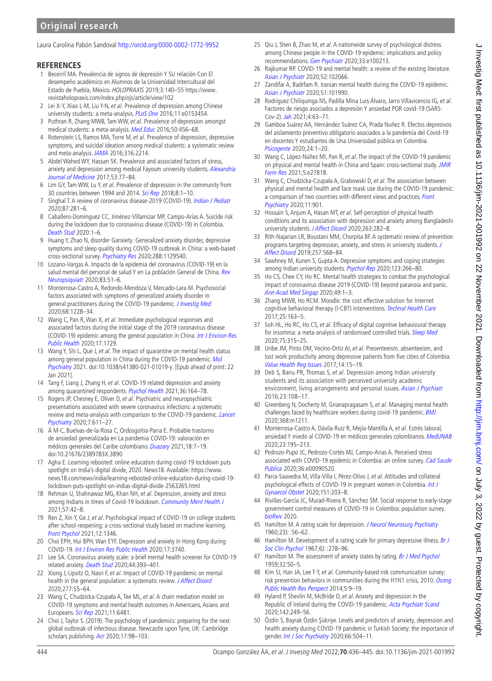# **Original research**

#### Laura Carolina Pabón Sandoval<http://orcid.org/0000-0002-1772-9952>

#### **REFERENCES**

- <span id="page-8-0"></span>1 Becerril MA. Prevalencia de signos de depresión Y SU relación Con El desempeño académico en Alumnos de la Universidad Intercultural del Estado de Puebla, México. HOLOPRAXIS 2019;3:140–55 [https://www.](https://www.revistaholopraxis.com/index.php/ojs/article/view/102) [revistaholopraxis.com/index.php/ojs/article/view/102](https://www.revistaholopraxis.com/index.php/ojs/article/view/102)
- <span id="page-8-16"></span>2 Lei X-Y, Xiao L-M, Liu Y-N, et al. Prevalence of depression among Chinese university students: a meta-analysis. [PLoS One](http://dx.doi.org/10.1371/journal.pone.0153454) 2016;11:e0153454.
- 3 Puthran R, Zhang MWB, Tam WW, et al. Prevalence of depression amongst medical students: a meta-analysis. [Med Educ](http://dx.doi.org/10.1111/medu.12962) 2016;50:456–68.
- 4 Rotenstein LS, Ramos MA, Torre M, et al. Prevalence of depression, depressive symptoms, and suicidal ideation among medical students: a systematic review and meta-analysis. [JAMA](http://dx.doi.org/10.1001/jama.2016.17324) 2016;316:2214.
- 5 Abdel Wahed WY, Hassan SK. Prevalence and associated factors of stress, anxiety and depression among medical Fayoum university students. Alexandria [Journal of Medicine](http://dx.doi.org/10.1016/j.ajme.2016.01.005) 2017;53:77–84.
- <span id="page-8-1"></span>6 Lim GY, Tam WW, Lu Y, et al. Prevalence of depression in the community from 30 countries between 1994 and 2014. [Sci Rep](http://dx.doi.org/10.1038/s41598-018-21243-x) 2018;8:1–10.
- <span id="page-8-2"></span>7 Singhal T. A review of coronavirus disease-2019 (COVID-19). [Indian J Pediatr](http://dx.doi.org/10.1007/s12098-020-03263-6) 2020;87:281–6.
- <span id="page-8-3"></span>8 Caballero-Domínguez CC, Jiménez-Villamizar MP, Campo-Arias A. Suicide risk during the lockdown due to coronavirus disease (COVID-19) in Colombia. [Death Stud](http://dx.doi.org/10.1080/07481187.2020.1784312) 2020:1–6.
- <span id="page-8-18"></span>9 Huang Y, Zhao N, disorder Ganxiety. Generalized anxiety disorder, depressive symptoms and sleep quality during COVID-19 outbreak in China: a web-based cross-sectional survey. [Psychiatry Res](http://dx.doi.org/10.1016/j.psychres.2020.112954) 2020;288:1129540.
- <span id="page-8-22"></span>10 Lozano-Vargas A. Impacto de la epidemia del coronavirus (COVID-19) en la salud mental del personal de salud Y en La población General de China. Rev [Neuropsiquiatr](http://dx.doi.org/10.20453/rnp.v83i1.3687) 2020;83:51–6.
- <span id="page-8-21"></span>11 Monterrosa-Castro A, Redondo-Mendoza V, Mercado-Lara M. Psychosocial factors associated with symptoms of generalized anxiety disorder in general practitioners during the COVID-19 pandemic. [J Investig Med](http://dx.doi.org/10.1136/jim-2020-001456) 2020;68:1228–34.
- 12 Wang C, Pan R, Wan X, et al. Immediate psychological responses and associated factors during the initial stage of the 2019 coronavirus disease (COVID-19) epidemic among the general population in China. Int J Environ Res [Public Health](http://dx.doi.org/10.3390/ijerph17051729) 2020;17:1729.
- <span id="page-8-4"></span>13 Wang Y, Shi L, Que J, et al. The impact of quarantine on mental health status among general population in China during the COVID-19 pandemic. [Mol](http://dx.doi.org/10.1038/s41380-021-01019-y)  [Psychiatry](http://dx.doi.org/10.1038/s41380-021-01019-y) 2021. doi:10.1038/s41380-021-01019-y. [Epub ahead of print: 22 Jan 2021].
- 14 Tang F, Liang J, Zhang H, et al. COVID-19 related depression and anxiety among quarantined respondents. [Psychol Health](http://dx.doi.org/10.1080/08870446.2020.1782410) 2021;36:164-78.
- <span id="page-8-26"></span>15 Rogers JP, Chesney E, Oliver D, et al. Psychiatric and neuropsychiatric presentations associated with severe coronavirus infections: a systematic review and meta-analysis with comparison to the COVID-19 pandemic. Lancet [Psychiatry](http://dx.doi.org/10.1016/S2215-0366(20)30203-0) 2020;7:611–27.
- 16 Á M-C, Buelvas-de-la-Rosa C, Ordosgoitia-Parra E. Probable trastorno de ansiedad generalizada en La pandemia COVID-19: valoración en médicos generales del Caribe colombiano. [Duazary](http://dx.doi.org/10.21676/2389783X.3890) 2021;18:7–19. doi:10.21676/2389783X.3890
- <span id="page-8-5"></span>17 Agha E. Learning rebooted: online education during covid-19 lockdown puts spotlight on India's digital divide, 2020. News18. Available: [https://www.](https://www.news18.com/news/india/learning-rebooted-online-education-during-covid-19-lockdown-puts-spotlight-on-indias-digital-divide-2563265.html) [news18.com/news/india/learning-rebooted-online-education-during-covid-19](https://www.news18.com/news/india/learning-rebooted-online-education-during-covid-19-lockdown-puts-spotlight-on-indias-digital-divide-2563265.html) [lockdown-puts-spotlight-on-indias-digital-divide-2563265.html](https://www.news18.com/news/india/learning-rebooted-online-education-during-covid-19-lockdown-puts-spotlight-on-indias-digital-divide-2563265.html)
- <span id="page-8-27"></span>18 Rehman U, Shahnawaz MG, Khan NH, et al. Depression, anxiety and stress among Indians in times of Covid-19 lockdown. [Community Ment Health J](http://dx.doi.org/10.1007/s10597-020-00664-x) 2021;57:42–8.
- <span id="page-8-6"></span>19 Ren Z, Xin Y, Ge J, et al. Psychological impact of COVID-19 on college students after school reopening: a cross-sectional study based on machine learning. [Front Psychol](http://dx.doi.org/10.3389/fpsyg.2021.641806) 2021;12:1346.
- <span id="page-8-7"></span>20 Choi EPH, Hui BPH, Wan EYF. Depression and anxiety in Hong Kong during COVID-19. [Int J Environ Res Public Health](http://dx.doi.org/10.3390/ijerph17103740) 2020;17:3740.
- 21 Lee SA. Coronavirus anxiety scale: a brief mental health screener for COVID-19 related anxiety. [Death Stud](http://dx.doi.org/10.1080/07481187.2020.1748481) 2020;44:393–401.
- <span id="page-8-8"></span>22 Xiong J, Lipsitz O, Nasri F, et al. Impact of COVID-19 pandemic on mental health in the general population: a systematic review. *[J Affect Disord](http://dx.doi.org/10.1016/j.jad.2020.08.001)* 2020;277:55–64.
- <span id="page-8-9"></span>23 Wang C, Chudzicka-Czupała A, Tee ML, et al. A chain mediation model on COVID-19 symptoms and mental health outcomes in Americans, Asians and Europeans. [Sci Rep](http://dx.doi.org/10.1038/s41598-021-85943-7) 2021;11:6481.
- 24 Choi J, Taylor S. (2019). The psychology of pandemics: preparing for the next global outbreak of infectious disease. Newcastle upon Tyne, UK: Cambridge scholars publishing. [Acr](http://dx.doi.org/10.20879/acr.2020.17.2.98) 2020;17:98-103.
- 25 Qiu J, Shen B, Zhao M, et al. A nationwide survey of psychological distress among Chinese people in the COVID-19 epidemic: implications and policy recommendations. [Gen Psychiatr](http://dx.doi.org/10.1136/gpsych-2020-100213) 2020;33:e100213.
- 26 Rajkumar RP. COVID-19 and mental health: a review of the existing literature. [Asian J Psychiatr](http://dx.doi.org/10.1016/j.ajp.2020.102066) 2020;52:102066.
- 27 Zandifar A, Badrfam R. Iranian mental health during the COVID-19 epidemic. [Asian J Psychiatr](http://dx.doi.org/10.1016/j.ajp.2020.101990) 2020;51:101990.
- 28 Rodríguez Chiliquinga NS, Padilla Mina Luis Álvaro, Jarro Villavicencio IG, et al. Factores de riesgo asociados a depresión Y ansiedad POR covid-19 (SARS-Cov-2). [Jah](http://dx.doi.org/10.37958/jah.v4i1.64) 2021;4:63–71.
- <span id="page-8-23"></span>29 Gamboa Suárez AA, Hernández Suárez CA, Prada Nuñez R. Efectos depresivos del aislamiento preventivo obligatorio asociados a la pandemia del Covid-19 en docentes Y estudiantes de Una Universidad pública en Colombia. [Psicogente](http://dx.doi.org/10.17081/psico.24.45.4156) 2020;24:1–20.
- <span id="page-8-10"></span>30 Wang C, López-Núñez MI, Pan R, et al. The impact of the COVID-19 pandemic on physical and mental health in China and Spain: cross-sectional study. JMIR [Form Res](http://dx.doi.org/10.2196/27818) 2021;5:e27818.
- <span id="page-8-11"></span>31 Wang C, Chudzicka-Czupała A, Grabowski D, et al. The association between physical and mental health and face mask use during the COVID-19 pandemic: a comparison of two countries with different views and practices. Front [Psychiatry](http://dx.doi.org/10.3389/fpsyt.2020.569981) 2020;11:901.
- <span id="page-8-12"></span>32 Hossain S, Anjum A, Hasan MT, et al. Self-perception of physical health conditions and its association with depression and anxiety among Bangladeshi university students. [J Affect Disord](http://dx.doi.org/10.1016/j.jad.2019.11.153) 2020;263:282-8.
- <span id="page-8-13"></span>33 Rith-Najarian LR, Boustani MM, Chorpita BF. A systematic review of prevention programs targeting depression, anxiety, and stress in university students. J [Affect Disord](http://dx.doi.org/10.1016/j.jad.2019.06.035) 2019;257:568–84.
- 34 Sawhney M, Kunen S, Gupta A. Depressive symptoms and coping strategies among Indian university students. [Psychol Rep](http://dx.doi.org/10.1177/0033294118820511) 2020;123:266–80.
- <span id="page-8-14"></span>35 Ho CS, Chee CY, Ho RC. Mental health strategies to combat the psychological impact of coronavirus disease 2019 (COVID-19) beyond paranoia and panic. [Ann Acad Med Singap](http://www.ncbi.nlm.nih.gov/pubmed/32200399) 2020;49:1–3.
- <span id="page-8-15"></span>36 Zhang MWB, Ho RCM. Moodle: the cost effective solution for Internet cognitive behavioral therapy (I-CBT) interventions. [Technol Health Care](http://dx.doi.org/10.3233/THC-161261) 2017;25:163–5.
- 37 Soh HL, Ho RC, Ho CS, et al. Efficacy of digital cognitive behavioural therapy for insomnia: a meta-analysis of randomised controlled trials. [Sleep Med](http://dx.doi.org/10.1016/j.sleep.2020.08.020) 2020;75:315–25.
- 38 Uribe JM, Pinto DM, Vecino-Ortiz AI, et al. Presenteeism, absenteeism, and lost work productivity among depressive patients from five cities of Colombia. [Value Health Reg Issues](http://dx.doi.org/10.1016/j.vhri.2017.03.001) 2017;14:15-19.
- 39 Deb S, Banu PR, Thomas S, et al. Depression among Indian university students and its association with perceived university academic environment, living arrangements and personal issues. [Asian J Psychiatr](http://dx.doi.org/10.1016/j.ajp.2016.07.010) 2016;23:108–17.
- <span id="page-8-17"></span>40 Greenberg N, Docherty M, Gnanapragasam S, et al. Managing mental health challenges faced by healthcare workers during covid-19 pandemic. [BMJ](http://dx.doi.org/10.1136/bmj.m1211) 2020;368:m1211.
- 41 Monterrosa-Castro A, Dávila-Ruiz R, Mejía-Mantilla A, et al. Estrés laboral, ansiedad Y miedo al COVID-19 en médicos generales colombianos. [MedUNAB](http://dx.doi.org/10.29375/01237047.3890) 2020;23:195–213.
- 42 Pedrozo-Pupo JC, Pedrozo-Cortés MJ, Campo-Arias A. Perceived stress associated with COVID-19 epidemic in Colombia: an online survey. Cad Saude [Publica](http://dx.doi.org/10.1590/0102-311x00090520) 2020;36:e00090520.
- 43 Parra-Saavedra M, Villa-Villa I, Pérez-Olivo J, et al. Attitudes and collateral psychological effects of COVID-19 in pregnant women in Colombia. *Int J* [Gynaecol Obstet](http://dx.doi.org/10.1002/ijgo.13348) 2020;151:203–8.
- 44 Rivillas-García JC, Murad-Rivera R, Sánchez SM. Social response to early-stage government control measures of COVID-19 in Colombia: population survey. [bioRxiv](http://dx.doi.org/10.1101/2020.06.18.20135145) 2020.
- <span id="page-8-19"></span>45 Hamilton M. A rating scale for depression. [J Neurol Neurosurg Psychiatry](http://dx.doi.org/10.1136/jnnp.23.1.56) 1960;23): :56–62.
- 46 Hamilton M. Development of a rating scale for primary depressive illness. Br J [Soc Clin Psychol](http://dx.doi.org/10.1111/j.2044-8260.1967.tb00530.x) 1967;6): :278-96.
- <span id="page-8-20"></span>47 Hamilton M. The assessment of anxiety states by rating. [Br J Med Psychol](http://dx.doi.org/10.1111/j.2044-8341.1959.tb00467.x) 1959;32:50–5.
- 48 Kim SJ, Han JA, Lee T-Y, et al. Community-based risk communication survey: risk prevention behaviors in communities during the H1N1 crisis, 2010. Osong [Public Health Res Perspect](http://dx.doi.org/10.1016/j.phrp.2013.12.001) 2014;5:9–19.
- <span id="page-8-25"></span>49 Hyland P, Shevlin M, McBride O, et al. Anxiety and depression in the Republic of Ireland during the COVID-19 pandemic. [Acta Psychiatr Scand](http://dx.doi.org/10.1111/acps.13219) 2020;142:249–56.
- <span id="page-8-24"></span>50 Özdin S, Bayrak Özdin Şükriye. Levels and predictors of anxiety, depression and health anxiety during COVID-19 pandemic in Turkish Society: the importance of gender. [Int J Soc Psychiatry](http://dx.doi.org/10.1177/0020764020927051) 2020;66:504-11.